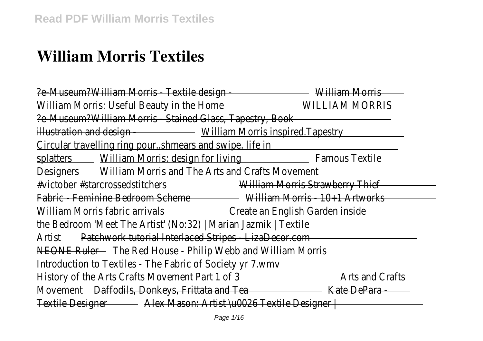# **William Morris Textiles**

?e-Museum?William Morris - Textile design - William Morris William Morris: Useful Beauty in the Home WILLIAM MORRIS ?e-Museum?William Morris - Stained Glass, Tapestry, Book illustration and design - William Morris inspired.Tapestry Circular travelling ring pour..shmears and swipe. life in splatters William Morris: design for living Famous Textile Designers William Morris and The Arts and Crafts Movement #victober #starcrossedstitchers William Morris Strawberry Thief Fabric - Feminine Bedroom Scheme William Morris - 10+1 Artworks William Morris fabric arrivals **Create an English Garden inside** the Bedroom 'Meet The Artist' (No:32) | Marian Jazmik | Textile Artist Patchwork tutorial Interlaced Stripes - LizaDecor.com NEONE Ruler - The Red House - Philip Webb and William Morris Introduction to Textiles - The Fabric of Society yr 7.wmv History of the Arts Crafts Movement Part 1 of 3 Arts and Crafts Movement Daffodils, Donkeys, Frittata and Tea **Kate DePara -**Textile Designer - Alex Mason: Artist \u0026 Textile Designer | -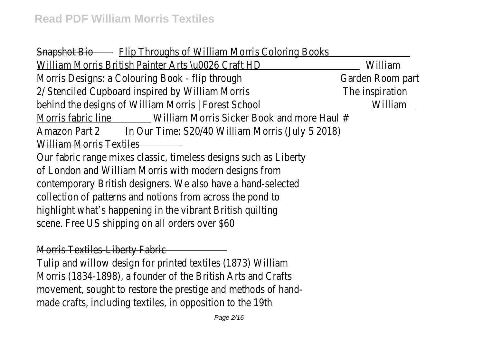Snapshot Bio - Flip Throughs of William Morris Coloring Books William Morris British Painter Arts \u0026 Craft HD William Morris Designs: a Colouring Book - flip through Garden Room part 2/ Stenciled Cupboard inspired by William Morris The inspiration behind the designs of William Morris | Forest School William Morris fabric line William Morris Sicker Book and more Haul # Amazon Part 2 In Our Time: S20/40 William Morris (July 5 2018) William Morris Textiles

Our fabric range mixes classic, timeless designs such as Liberty of London and William Morris with modern designs from contemporary British designers. We also have a hand-selected collection of patterns and notions from across the pond to highlight what's happening in the vibrant British quilting scene. Free US shipping on all orders over \$60

Morris Textiles-Liberty Fabric

Tulip and willow design for printed textiles (1873) William Morris (1834-1898), a founder of the British Arts and Crafts movement, sought to restore the prestige and methods of handmade crafts, including textiles, in opposition to the 19th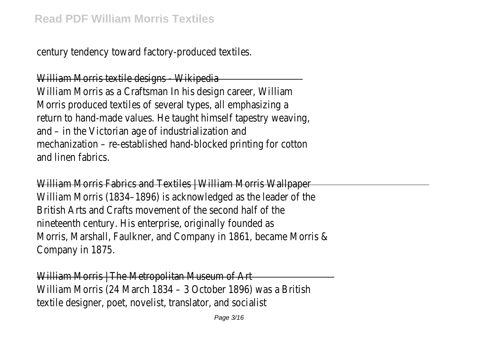century tendency toward factory-produced textiles.

William Morris textile designs - Wikipedia William Morris as a Craftsman In his design career, William Morris produced textiles of several types, all emphasizing a return to hand-made values. He taught himself tapestry weaving, and – in the Victorian age of industrialization and mechanization – re-established hand-blocked printing for cotton and linen fabrics.

William Morris Fabrics and Textiles | William Morris Wallpaper William Morris (1834–1896) is acknowledged as the leader of the British Arts and Crafts movement of the second half of the nineteenth century. His enterprise, originally founded as Morris, Marshall, Faulkner, and Company in 1861, became Morris & Company in 1875.

William Morris | The Metropolitan Museum of Art William Morris (24 March 1834 – 3 October 1896) was a British textile designer, poet, novelist, translator, and socialist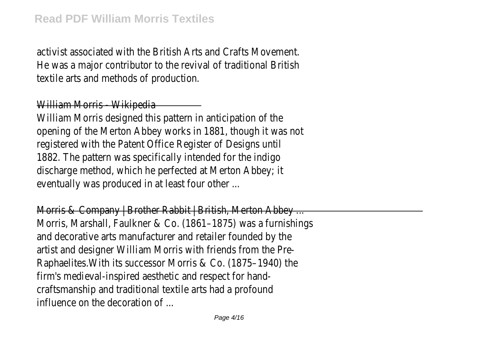activist associated with the British Arts and Crafts Movement. He was a major contributor to the revival of traditional British textile arts and methods of production.

## William Morris - Wikipedia

William Morris designed this pattern in anticipation of the opening of the Merton Abbey works in 1881, though it was not registered with the Patent Office Register of Designs until 1882. The pattern was specifically intended for the indigo discharge method, which he perfected at Merton Abbey; it eventually was produced in at least four other ...

Morris & Company | Brother Rabbit | British, Merton Abbey ... Morris, Marshall, Faulkner & Co. (1861–1875) was a furnishings and decorative arts manufacturer and retailer founded by the artist and designer William Morris with friends from the Pre-Raphaelites.With its successor Morris & Co. (1875–1940) the firm's medieval-inspired aesthetic and respect for handcraftsmanship and traditional textile arts had a profound influence on the decoration of ...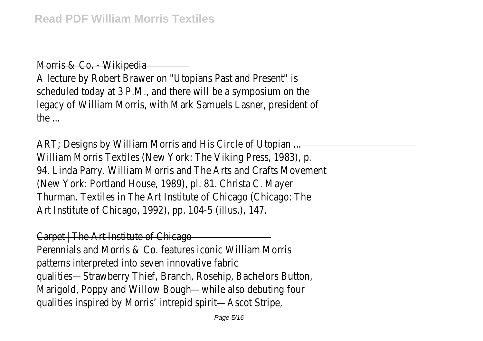Morris & Co. - Wikipedia

A lecture by Robert Brawer on "Utopians Past and Present" is scheduled today at 3 P.M., and there will be a symposium on the legacy of William Morris, with Mark Samuels Lasner, president of the ...

ART; Designs by William Morris and His Circle of Utopian ... William Morris Textiles (New York: The Viking Press, 1983), p. 94. Linda Parry. William Morris and The Arts and Crafts Movement (New York: Portland House, 1989), pl. 81. Christa C. Mayer Thurman. Textiles in The Art Institute of Chicago (Chicago: The Art Institute of Chicago, 1992), pp. 104-5 (illus.), 147.

Carpet | The Art Institute of Chicago Perennials and Morris & Co. features iconic William Morris patterns interpreted into seven innovative fabric qualities—Strawberry Thief, Branch, Rosehip, Bachelors Button, Marigold, Poppy and Willow Bough—while also debuting four qualities inspired by Morris' intrepid spirit—Ascot Stripe,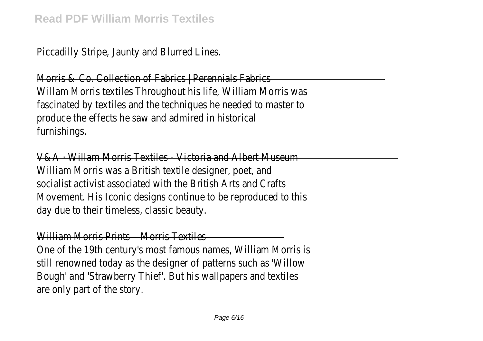Piccadilly Stripe, Jaunty and Blurred Lines.

Morris & Co. Collection of Fabrics | Perennials Fabrics Willam Morris textiles Throughout his life, William Morris was fascinated by textiles and the techniques he needed to master to produce the effects he saw and admired in historical furnishings.

V&A · Willam Morris Textiles - Victoria and Albert Museum William Morris was a British textile designer, poet, and socialist activist associated with the British Arts and Crafts Movement. His Iconic designs continue to be reproduced to this day due to their timeless, classic beauty.

William Morris Prints – Morris Textiles

One of the 19th century's most famous names, William Morris is still renowned today as the designer of patterns such as 'Willow Bough' and 'Strawberry Thief'. But his wallpapers and textiles are only part of the story.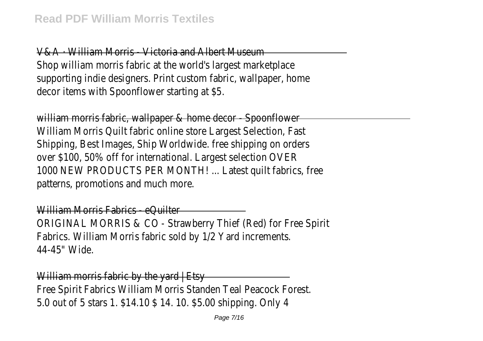V&A · William Morris - Victoria and Albert Museum Shop william morris fabric at the world's largest marketplace supporting indie designers. Print custom fabric, wallpaper, home decor items with Spoonflower starting at \$5.

william morris fabric, wallpaper & home decor - Spoonflower William Morris Quilt fabric online store Largest Selection, Fast Shipping, Best Images, Ship Worldwide. free shipping on orders over \$100, 50% off for international. Largest selection OVER 1000 NEW PRODUCTS PER MONTH! ... Latest quilt fabrics, free patterns, promotions and much more.

William Morris Fabrics - eQuilter ORIGINAL MORRIS & CO - Strawberry Thief (Red) for Free Spirit Fabrics. William Morris fabric sold by 1/2 Yard increments. 44-45" Wide.

William morris fabric by the yard | Etsy Free Spirit Fabrics William Morris Standen Teal Peacock Forest. 5.0 out of 5 stars 1. \$14.10 \$ 14. 10. \$5.00 shipping. Only 4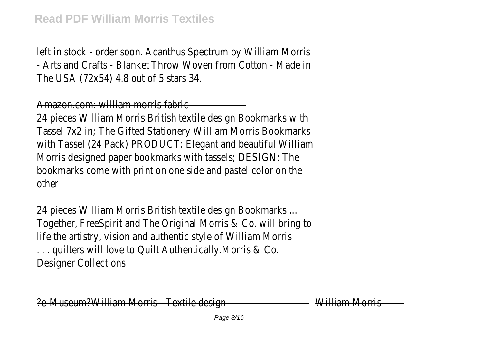left in stock - order soon. Acanthus Spectrum by William Morris - Arts and Crafts - Blanket Throw Woven from Cotton - Made in The USA (72x54) 4.8 out of 5 stars 34.

# Amazon.com: william morris fabric

24 pieces William Morris British textile design Bookmarks with Tassel 7x2 in; The Gifted Stationery William Morris Bookmarks with Tassel (24 Pack) PRODUCT: Elegant and beautiful William Morris designed paper bookmarks with tassels; DESIGN: The bookmarks come with print on one side and pastel color on the other

24 pieces William Morris British textile design Bookmarks ... Together, FreeSpirit and The Original Morris & Co. will bring to life the artistry, vision and authentic style of William Morris . . . quilters will love to Quilt Authentically.Morris & Co. Designer Collections

?e-Museum?William Morris - Textile design - William Morris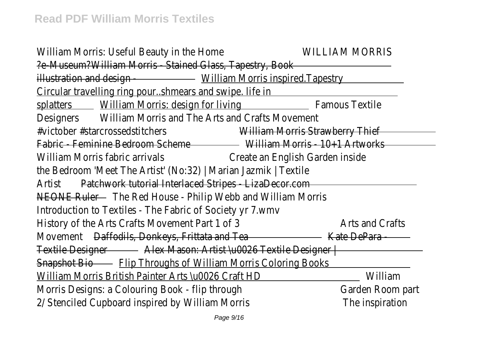William Morris: Useful Beauty in the Home WILLIAM MORRIS ?e-Museum?William Morris - Stained Glass, Tapestry, Book illustration and design - William Morris inspired.Tapestry Circular travelling ring pour..shmears and swipe. life in splatters William Morris: design for living Famous Textile Designers William Morris and The Arts and Crafts Movement #victober #starcrossedstitchers William Morris Strawberry Thief Fabric - Feminine Bedroom Scheme William Morris - 10+1 Artworks William Morris fabric arrivals Create an English Garden inside the Bedroom 'Meet The Artist' (No:32) | Marian Jazmik | Textile Artist Patchwork tutorial Interlaced Stripes - LizaDecor.com NEONE Ruler - The Red House - Philip Webb and William Morris Introduction to Textiles - The Fabric of Society yr 7.wmv History of the Arts Crafts Movement Part 1 of 3 Arts and Crafts Movement Daffodils, Donkeys, Frittata and Tea **Kate DePara -** And Para - And Para - And Para - And Para - And Para - And Para - And Para - And Para - And Para - And Para - And Para - And Para - And Para - And Para - And Pa Textile Designer Alex Mason: Artist \u0026 Textile Designer | Snapshot Bio – Flip Throughs of William Morris Coloring Books William Morris British Painter Arts \u0026 Craft HD William Morris Designs: a Colouring Book - flip through Garden Room part 2/ Stenciled Cupboard inspired by William Morris The inspiration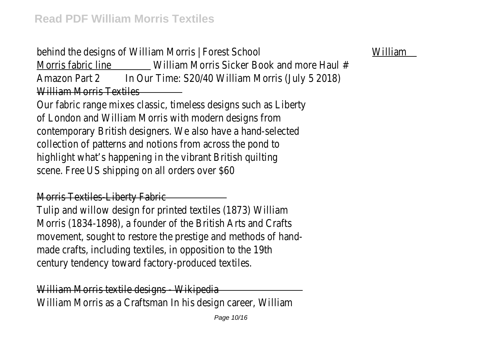behind the designs of William Morris | Forest School William Morris fabric line William Morris Sicker Book and more Haul # Amazon Part 2 In Our Time: S20/40 William Morris (July 5 2018) William Morris Textiles

Our fabric range mixes classic, timeless designs such as Liberty of London and William Morris with modern designs from contemporary British designers. We also have a hand-selected collection of patterns and notions from across the pond to highlight what's happening in the vibrant British quilting scene. Free US shipping on all orders over \$60

Morris Textiles-Liberty Fabric

Tulip and willow design for printed textiles (1873) William Morris (1834-1898), a founder of the British Arts and Crafts movement, sought to restore the prestige and methods of handmade crafts, including textiles, in opposition to the 19th century tendency toward factory-produced textiles.

William Morris textile designs - Wikipedia William Morris as a Craftsman In his design career, William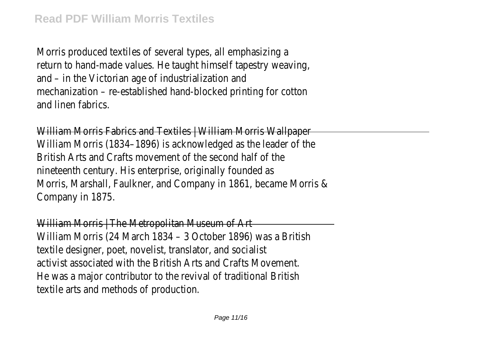Morris produced textiles of several types, all emphasizing a return to hand-made values. He taught himself tapestry weaving, and – in the Victorian age of industrialization and mechanization – re-established hand-blocked printing for cotton and linen fabrics.

William Morris Fabrics and Textiles | William Morris Wallpaper William Morris (1834–1896) is acknowledged as the leader of the British Arts and Crafts movement of the second half of the nineteenth century. His enterprise, originally founded as Morris, Marshall, Faulkner, and Company in 1861, became Morris & Company in 1875.

William Morris | The Metropolitan Museum of Art William Morris (24 March 1834 – 3 October 1896) was a British textile designer, poet, novelist, translator, and socialist activist associated with the British Arts and Crafts Movement. He was a major contributor to the revival of traditional British textile arts and methods of production.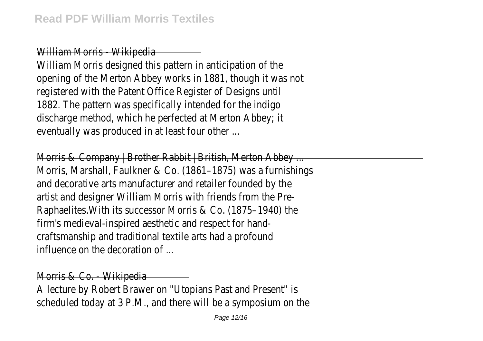## William Morris - Wikipedia

William Morris designed this pattern in anticipation of the opening of the Merton Abbey works in 1881, though it was not registered with the Patent Office Register of Designs until 1882. The pattern was specifically intended for the indigo discharge method, which he perfected at Merton Abbey; it eventually was produced in at least four other ...

Morris & Company | Brother Rabbit | British, Merton Abbey ... Morris, Marshall, Faulkner & Co. (1861–1875) was a furnishings and decorative arts manufacturer and retailer founded by the artist and designer William Morris with friends from the Pre-Raphaelites.With its successor Morris & Co. (1875–1940) the firm's medieval-inspired aesthetic and respect for handcraftsmanship and traditional textile arts had a profound influence on the decoration of ...

Morris & Co. - Wikipedia

A lecture by Robert Brawer on "Utopians Past and Present" is scheduled today at 3 P.M., and there will be a symposium on the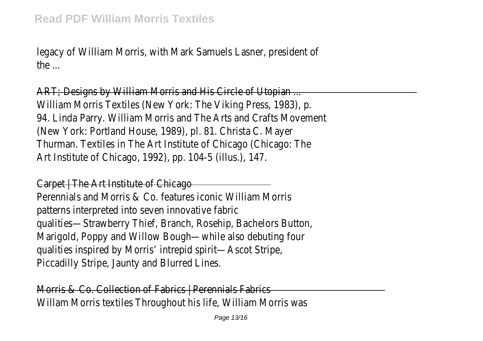legacy of William Morris, with Mark Samuels Lasner, president of the ...

ART; Designs by William Morris and His Circle of Utopian ... William Morris Textiles (New York: The Viking Press, 1983), p. 94. Linda Parry. William Morris and The Arts and Crafts Movement (New York: Portland House, 1989), pl. 81. Christa C. Mayer Thurman. Textiles in The Art Institute of Chicago (Chicago: The Art Institute of Chicago, 1992), pp. 104-5 (illus.), 147.

Carpet | The Art Institute of Chicago Perennials and Morris & Co. features iconic William Morris patterns interpreted into seven innovative fabric qualities—Strawberry Thief, Branch, Rosehip, Bachelors Button, Marigold, Poppy and Willow Bough—while also debuting four qualities inspired by Morris' intrepid spirit—Ascot Stripe, Piccadilly Stripe, Jaunty and Blurred Lines.

Morris & Co. Collection of Fabrics | Perennials Fabrics Willam Morris textiles Throughout his life, William Morris was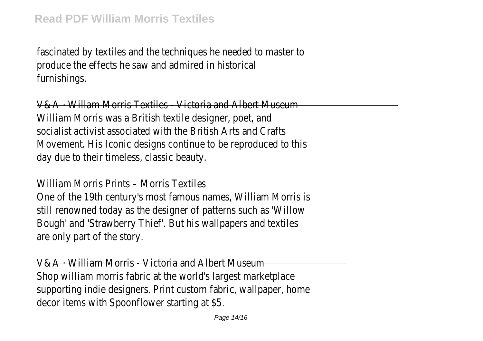fascinated by textiles and the techniques he needed to master to produce the effects he saw and admired in historical furnishings.

V&A · Willam Morris Textiles - Victoria and Albert Museum William Morris was a British textile designer, poet, and socialist activist associated with the British Arts and Crafts Movement. His Iconic designs continue to be reproduced to this day due to their timeless, classic beauty.

William Morris Prints – Morris Textiles

One of the 19th century's most famous names, William Morris is still renowned today as the designer of patterns such as 'Willow Bough' and 'Strawberry Thief'. But his wallpapers and textiles are only part of the story.

V&A · William Morris - Victoria and Albert Museum Shop william morris fabric at the world's largest marketplace supporting indie designers. Print custom fabric, wallpaper, home decor items with Spoonflower starting at \$5.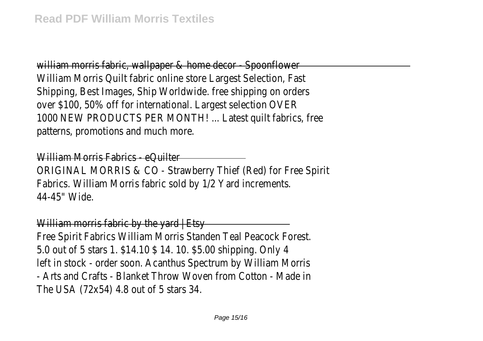william morris fabric, wallpaper & home decor - Spoonflower William Morris Quilt fabric online store Largest Selection, Fast Shipping, Best Images, Ship Worldwide. free shipping on orders over \$100, 50% off for international. Largest selection OVER 1000 NEW PRODUCTS PER MONTH! ... Latest quilt fabrics, free patterns, promotions and much more.

William Morris Fabrics - eQuilter ORIGINAL MORRIS & CO - Strawberry Thief (Red) for Free Spirit Fabrics. William Morris fabric sold by 1/2 Yard increments. 44-45" Wide.

William morris fabric by the yard | Etsy Free Spirit Fabrics William Morris Standen Teal Peacock Forest. 5.0 out of 5 stars 1. \$14.10 \$ 14. 10. \$5.00 shipping. Only 4 left in stock - order soon. Acanthus Spectrum by William Morris - Arts and Crafts - Blanket Throw Woven from Cotton - Made in The USA (72x54) 4.8 out of 5 stars 34.